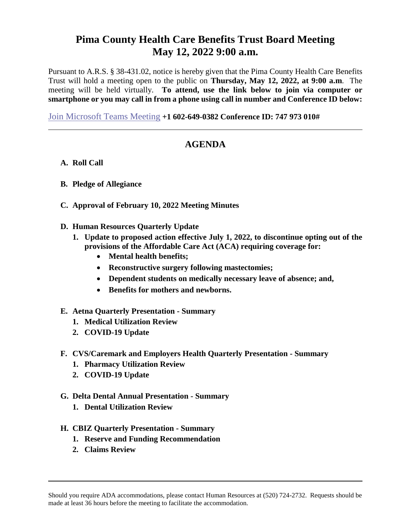## **Pima County Health Care Benefits Trust Board Meeting May 12, 2022 9:00 a.m.**

Pursuant to A.R.S. § 38-431.02, notice is hereby given that the Pima County Health Care Benefits Trust will hold a meeting open to the public on **Thursday, May 12, 2022, at 9:00 a.m**. The meeting will be held virtually. **To attend, use the link below to join via computer or smartphone or you may call in from a phone using call in number and Conference ID below:**

[Join Microsoft Teams Meeting](https://teams.microsoft.com/l/meetup-join/19%3ameeting_YzVjOWYyY2YtZGFjYi00NTFhLTg2NjgtZmJhMmZiODkzYTZh%40thread.v2/0?context=%7b%22Tid%22%3a%2233b6e2c3-0b1a-4879-b741-47461a6c1a89%22%2c%22Oid%22%3a%227ed4e4fd-f9ef-401d-bf6e-514166f3d1be%22%7d) **[+1 602-649-0382](tel:+1%20213-279-1657,,519048937# ) Conference ID: 747 973 010#**

## **AGENDA**

- **A. Roll Call**
- **B. Pledge of Allegiance**
- **C. Approval of February 10, 2022 Meeting Minutes**
- **D. Human Resources Quarterly Update**
	- **1. Update to proposed action effective July 1, 2022, to discontinue opting out of the provisions of the Affordable Care Act (ACA) requiring coverage for:**
		- **Mental health benefits;**
		- **Reconstructive surgery following mastectomies;**
		- **Dependent students on medically necessary leave of absence; and,**
		- **Benefits for mothers and newborns.**
- **E. Aetna Quarterly Presentation - Summary**
	- **1. Medical Utilization Review**
	- **2. COVID-19 Update**
- **F. CVS/Caremark and Employers Health Quarterly Presentation - Summary**
	- **1. Pharmacy Utilization Review**
	- **2. COVID-19 Update**
- **G. Delta Dental Annual Presentation - Summary**
	- **1. Dental Utilization Review**
- **H. CBIZ Quarterly Presentation - Summary**
	- **1. Reserve and Funding Recommendation**
	- **2. Claims Review**